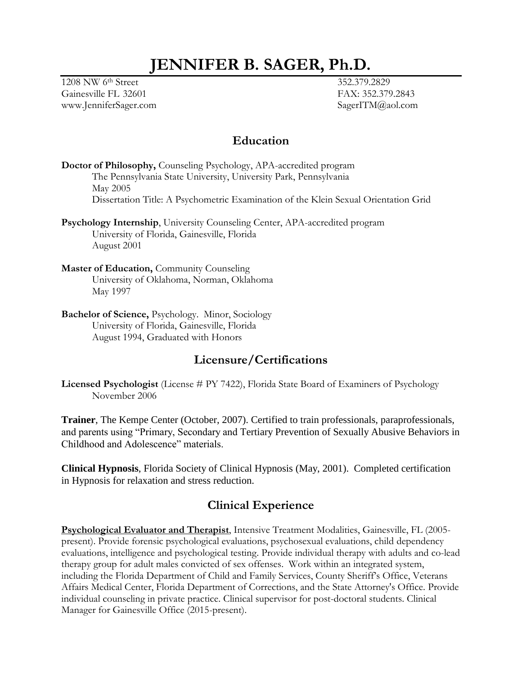# **JENNIFER B. SAGER, Ph.D.**

1208 NW 6th Street 352.379.2829 Gainesville FL 32601 FAX: 352.379.2843 www.JenniferSager.com SagerITM@aol.com

### **Education**

**Doctor of Philosophy,** Counseling Psychology, APA-accredited program The Pennsylvania State University, University Park, Pennsylvania May 2005 Dissertation Title: A Psychometric Examination of the Klein Sexual Orientation Grid

**Psychology Internship**, University Counseling Center, APA-accredited program University of Florida, Gainesville, Florida August 2001

**Master of Education,** Community Counseling University of Oklahoma, Norman, Oklahoma May 1997

**Bachelor of Science,** Psychology. Minor, Sociology University of Florida, Gainesville, Florida August 1994, Graduated with Honors

### **Licensure/Certifications**

**Licensed Psychologist** (License # PY 7422), Florida State Board of Examiners of Psychology November 2006

**Trainer**, The Kempe Center (October, 2007). Certified to train professionals, paraprofessionals, and parents using "Primary, Secondary and Tertiary Prevention of Sexually Abusive Behaviors in Childhood and Adolescence" materials.

**Clinical Hypnosis**, Florida Society of Clinical Hypnosis (May, 2001). Completed certification in Hypnosis for relaxation and stress reduction.

# **Clinical Experience**

**Psychological Evaluator and Therapist**, Intensive Treatment Modalities, Gainesville, FL (2005 present). Provide forensic psychological evaluations, psychosexual evaluations, child dependency evaluations, intelligence and psychological testing. Provide individual therapy with adults and co-lead therapy group for adult males convicted of sex offenses. Work within an integrated system, including the Florida Department of Child and Family Services, County Sheriff's Office, Veterans Affairs Medical Center, Florida Department of Corrections, and the State Attorney's Office. Provide individual counseling in private practice. Clinical supervisor for post-doctoral students. Clinical Manager for Gainesville Office (2015-present).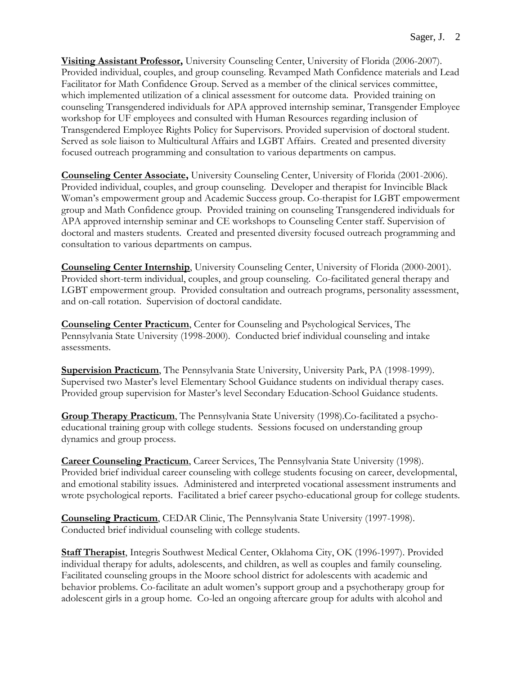**Visiting Assistant Professor,** University Counseling Center, University of Florida (2006-2007). Provided individual, couples, and group counseling. Revamped Math Confidence materials and Lead Facilitator for Math Confidence Group. Served as a member of the clinical services committee, which implemented utilization of a clinical assessment for outcome data. Provided training on counseling Transgendered individuals for APA approved internship seminar, Transgender Employee workshop for UF employees and consulted with Human Resources regarding inclusion of Transgendered Employee Rights Policy for Supervisors. Provided supervision of doctoral student. Served as sole liaison to Multicultural Affairs and LGBT Affairs. Created and presented diversity focused outreach programming and consultation to various departments on campus.

**Counseling Center Associate,** University Counseling Center, University of Florida (2001-2006). Provided individual, couples, and group counseling. Developer and therapist for Invincible Black Woman's empowerment group and Academic Success group. Co-therapist for LGBT empowerment group and Math Confidence group. Provided training on counseling Transgendered individuals for APA approved internship seminar and CE workshops to Counseling Center staff. Supervision of doctoral and masters students. Created and presented diversity focused outreach programming and consultation to various departments on campus.

**Counseling Center Internship**, University Counseling Center, University of Florida (2000-2001). Provided short-term individual, couples, and group counseling. Co-facilitated general therapy and LGBT empowerment group. Provided consultation and outreach programs, personality assessment, and on-call rotation. Supervision of doctoral candidate.

**Counseling Center Practicum**, Center for Counseling and Psychological Services, The Pennsylvania State University (1998-2000). Conducted brief individual counseling and intake assessments.

**Supervision Practicum**, The Pennsylvania State University, University Park, PA (1998-1999). Supervised two Master's level Elementary School Guidance students on individual therapy cases. Provided group supervision for Master's level Secondary Education-School Guidance students.

**Group Therapy Practicum**, The Pennsylvania State University (1998).Co-facilitated a psychoeducational training group with college students. Sessions focused on understanding group dynamics and group process.

**Career Counseling Practicum**, Career Services, The Pennsylvania State University (1998). Provided brief individual career counseling with college students focusing on career, developmental, and emotional stability issues. Administered and interpreted vocational assessment instruments and wrote psychological reports. Facilitated a brief career psycho-educational group for college students.

**Counseling Practicum**, CEDAR Clinic, The Pennsylvania State University (1997-1998). Conducted brief individual counseling with college students.

**Staff Therapist**, Integris Southwest Medical Center, Oklahoma City, OK (1996-1997). Provided individual therapy for adults, adolescents, and children, as well as couples and family counseling. Facilitated counseling groups in the Moore school district for adolescents with academic and behavior problems. Co-facilitate an adult women's support group and a psychotherapy group for adolescent girls in a group home. Co-led an ongoing aftercare group for adults with alcohol and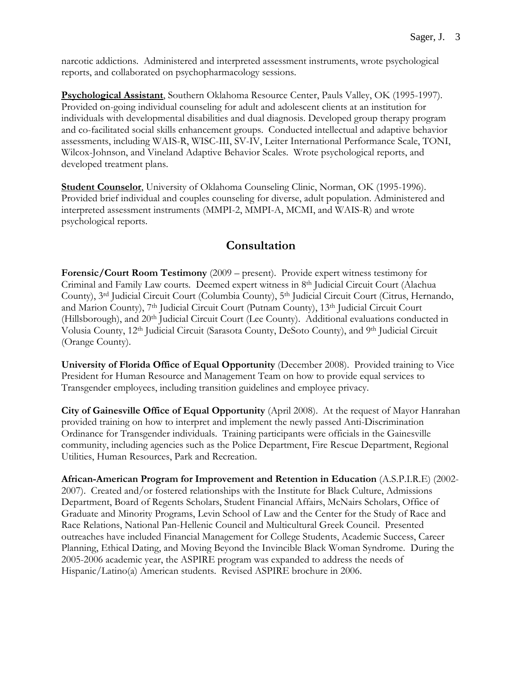narcotic addictions. Administered and interpreted assessment instruments, wrote psychological reports, and collaborated on psychopharmacology sessions.

**Psychological Assistant**, Southern Oklahoma Resource Center, Pauls Valley, OK (1995-1997). Provided on-going individual counseling for adult and adolescent clients at an institution for individuals with developmental disabilities and dual diagnosis. Developed group therapy program and co-facilitated social skills enhancement groups. Conducted intellectual and adaptive behavior assessments, including WAIS-R, WISC-III, SV-IV, Leiter International Performance Scale, TONI, Wilcox-Johnson, and Vineland Adaptive Behavior Scales. Wrote psychological reports, and developed treatment plans.

**Student Counselor**, University of Oklahoma Counseling Clinic, Norman, OK (1995-1996). Provided brief individual and couples counseling for diverse, adult population. Administered and interpreted assessment instruments (MMPI-2, MMPI-A, MCMI, and WAIS-R) and wrote psychological reports.

# **Consultation**

**Forensic/Court Room Testimony** (2009 – present). Provide expert witness testimony for Criminal and Family Law courts. Deemed expert witness in 8<sup>th</sup> Judicial Circuit Court (Alachua County), 3 rd Judicial Circuit Court (Columbia County), 5th Judicial Circuit Court (Citrus, Hernando, and Marion County), 7<sup>th</sup> Judicial Circuit Court (Putnam County), 13<sup>th</sup> Judicial Circuit Court (Hillsborough), and 20<sup>th</sup> Judicial Circuit Court (Lee County). Additional evaluations conducted in Volusia County, 12th Judicial Circuit (Sarasota County, DeSoto County), and 9th Judicial Circuit (Orange County).

**University of Florida Office of Equal Opportunity** (December 2008). Provided training to Vice President for Human Resource and Management Team on how to provide equal services to Transgender employees, including transition guidelines and employee privacy.

**City of Gainesville Office of Equal Opportunity** (April 2008). At the request of Mayor Hanrahan provided training on how to interpret and implement the newly passed Anti-Discrimination Ordinance for Transgender individuals. Training participants were officials in the Gainesville community, including agencies such as the Police Department, Fire Rescue Department, Regional Utilities, Human Resources, Park and Recreation.

**African-American Program for Improvement and Retention in Education** (A.S.P.I.R.E) (2002- 2007).Created and/or fostered relationships with the Institute for Black Culture, Admissions Department, Board of Regents Scholars, Student Financial Affairs, McNairs Scholars, Office of Graduate and Minority Programs, Levin School of Law and the Center for the Study of Race and Race Relations, National Pan-Hellenic Council and Multicultural Greek Council. Presented outreaches have included Financial Management for College Students, Academic Success, Career Planning, Ethical Dating, and Moving Beyond the Invincible Black Woman Syndrome. During the 2005-2006 academic year, the ASPIRE program was expanded to address the needs of Hispanic/Latino(a) American students. Revised ASPIRE brochure in 2006.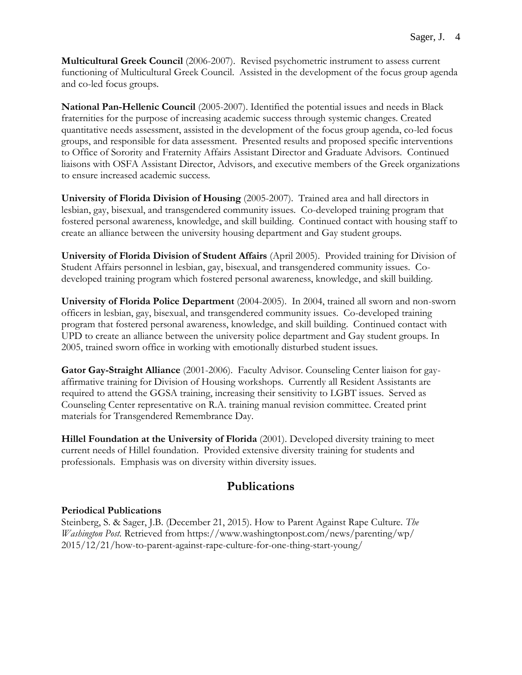**Multicultural Greek Council** (2006-2007). Revised psychometric instrument to assess current functioning of Multicultural Greek Council. Assisted in the development of the focus group agenda and co-led focus groups.

**National Pan-Hellenic Council** (2005-2007). Identified the potential issues and needs in Black fraternities for the purpose of increasing academic success through systemic changes. Created quantitative needs assessment, assisted in the development of the focus group agenda, co-led focus groups, and responsible for data assessment. Presented results and proposed specific interventions to Office of Sorority and Fraternity Affairs Assistant Director and Graduate Advisors. Continued liaisons with OSFA Assistant Director, Advisors, and executive members of the Greek organizations to ensure increased academic success.

**University of Florida Division of Housing** (2005-2007). Trained area and hall directors in lesbian, gay, bisexual, and transgendered community issues. Co-developed training program that fostered personal awareness, knowledge, and skill building. Continued contact with housing staff to create an alliance between the university housing department and Gay student groups.

**University of Florida Division of Student Affairs** (April 2005). Provided training for Division of Student Affairs personnel in lesbian, gay, bisexual, and transgendered community issues. Codeveloped training program which fostered personal awareness, knowledge, and skill building.

**University of Florida Police Department** (2004-2005). In 2004, trained all sworn and non-sworn officers in lesbian, gay, bisexual, and transgendered community issues. Co-developed training program that fostered personal awareness, knowledge, and skill building. Continued contact with UPD to create an alliance between the university police department and Gay student groups. In 2005, trained sworn office in working with emotionally disturbed student issues.

**Gator Gay-Straight Alliance** (2001-2006). Faculty Advisor. Counseling Center liaison for gayaffirmative training for Division of Housing workshops. Currently all Resident Assistants are required to attend the GGSA training, increasing their sensitivity to LGBT issues. Served as Counseling Center representative on R.A. training manual revision committee. Created print materials for Transgendered Remembrance Day.

**Hillel Foundation at the University of Florida** (2001). Developed diversity training to meet current needs of Hillel foundation. Provided extensive diversity training for students and professionals. Emphasis was on diversity within diversity issues.

# **Publications**

### **Periodical Publications**

Steinberg, S. & Sager, J.B. (December 21, 2015). How to Parent Against Rape Culture. *The Washington Post.* Retrieved from https://www.washingtonpost.com/news/parenting/wp/ 2015/12/21/how-to-parent-against-rape-culture-for-one-thing-start-young/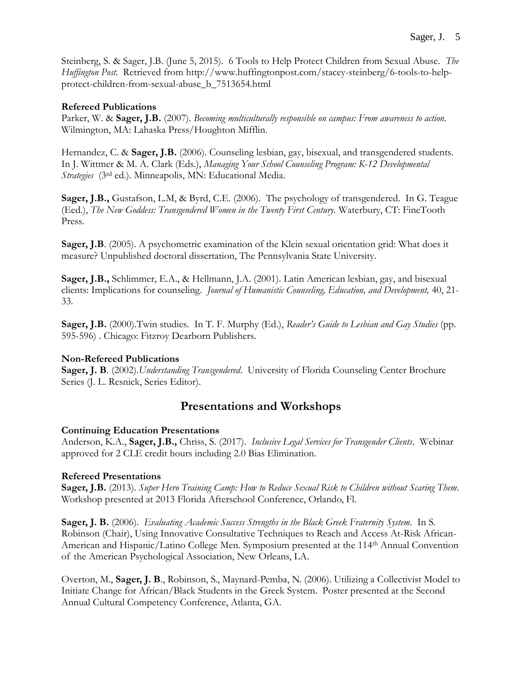Steinberg, S. & Sager, J.B. (June 5, 2015). 6 Tools to Help Protect Children from Sexual Abuse. *The Huffington Post.* Retrieved from http://www.huffingtonpost.com/stacey-steinberg/6-tools-to-helpprotect-children-from-sexual-abuse\_b\_7513654.html

### **Refereed Publications**

Parker, W. & **Sager, J.B.** (2007). *Becoming multiculturally responsible on campus: From awareness to action.* Wilmington, MA: Lahaska Press/Houghton Mifflin.

Hernandez, C. & **Sager, J.B.** (2006). Counseling lesbian, gay, bisexual, and transgendered students. In J. Wittmer & M. A. Clark (Eds.), *Managing Your School Counseling Program: K-12 Developmental Strategies* (3rd ed.). Minneapolis, MN: Educational Media.

**Sager, J.B.,** Gustafson, L.M, & Byrd, C.E. (2006). The psychology of transgendered. In G. Teague (Eed.), *The New Goddess: Transgendered Women in the Twenty First Century.* Waterbury, CT: FineTooth Press.

**Sager, J.B.** (2005). A psychometric examination of the Klein sexual orientation grid: What does it measure? Unpublished doctoral dissertation, The Pennsylvania State University.

**Sager, J.B.,** Schlimmer, E.A., & Hellmann, J.A. (2001). Latin American lesbian, gay, and bisexual clients: Implications for counseling. *Journal of Humanistic Counseling, Education, and Development,* 40, 21- 33*.*

**Sager, J.B.** (2000).Twin studies. In T. F. Murphy (Ed.), *Reader's Guide to Lesbian and Gay Studies* (pp. 595-596) . Chicago: Fitzroy Dearborn Publishers.

### **Non-Refereed Publications**

**Sager, J. B**. (2002).*Understanding Transgendered*. University of Florida Counseling Center Brochure Series (J. L. Resnick, Series Editor).

# **Presentations and Workshops**

### **Continuing Education Presentations**

Anderson, K.A., **Sager, J.B.,** Chriss, S. (2017).*Inclusive Legal Services for Transgender Clients*. Webinar approved for 2 CLE credit hours including 2.0 Bias Elimination.

### **Refereed Presentations**

**Sager, J.B.** (2013). *Super Hero Training Camp: How to Reduce Sexual Risk to Children without Scaring Them.*  Workshop presented at 2013 Florida Afterschool Conference, Orlando, Fl.

**Sager, J. B.** (2006). *Evaluating Academic Success Strengths in the Black Greek Fraternity System.* In S. Robinson (Chair), Using Innovative Consultative Techniques to Reach and Access At-Risk African-American and Hispanic/Latino College Men. Symposium presented at the 114th Annual Convention of the American Psychological Association, New Orleans, LA.

Overton, M., **Sager, J. B**., Robinson, S., Maynard-Pemba, N. (2006). Utilizing a Collectivist Model to Initiate Change for African/Black Students in the Greek System. Poster presented at the Second Annual Cultural Competency Conference, Atlanta, GA.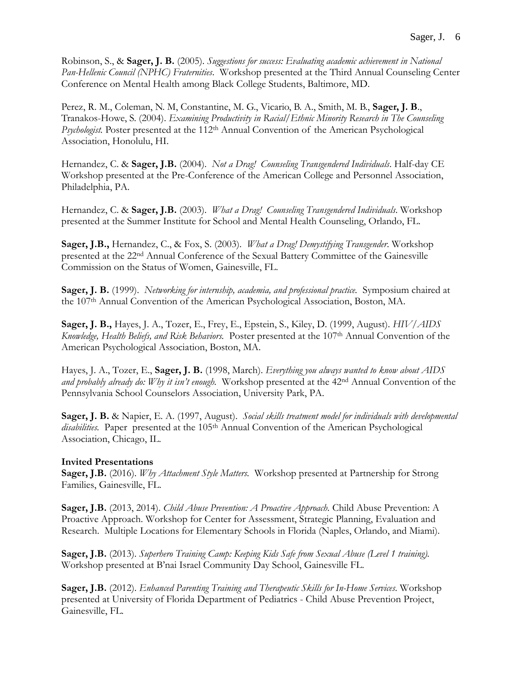Robinson, S., & **Sager, J. B.** (2005). *Suggestions for success: Evaluating academic achievement in National Pan-Hellenic Council (NPHC) Fraternities*. Workshop presented at the Third Annual Counseling Center Conference on Mental Health among Black College Students, Baltimore, MD.

Perez, R. M., Coleman, N. M, Constantine, M. G., Vicario, B. A., Smith, M. B., **Sager, J. B**., Tranakos-Howe, S. (2004). *Examining Productivity in Racial/Ethnic Minority Research in The Counseling Psychologist.* Poster presented at the 112<sup>th</sup> Annual Convention of the American Psychological Association, Honolulu, HI.

Hernandez, C. & **Sager, J.B.** (2004). *Not a Drag! Counseling Transgendered Individuals*. Half-day CE Workshop presented at the Pre-Conference of the American College and Personnel Association, Philadelphia, PA.

Hernandez, C. & **Sager, J.B.** (2003). *What a Drag! Counseling Transgendered Individuals*. Workshop presented at the Summer Institute for School and Mental Health Counseling, Orlando, FL.

**Sager, J.B.,** Hernandez, C., & Fox, S. (2003). *What a Drag! Demystifying Transgender*. Workshop presented at the 22nd Annual Conference of the Sexual Battery Committee of the Gainesville Commission on the Status of Women, Gainesville, FL.

**Sager, J. B.** (1999). *Networking for internship, academia, and professional practice.* Symposium chaired at the 107th Annual Convention of the American Psychological Association, Boston, MA.

**Sager, J. B.,** Hayes, J. A., Tozer, E., Frey, E., Epstein, S., Kiley, D. (1999, August). *HIV/AIDS Knowledge, Health Beliefs, and Risk Behaviors.* Poster presented at the 107th Annual Convention of the American Psychological Association, Boston, MA.

Hayes, J. A., Tozer, E., **Sager, J. B.** (1998, March). *Everything you always wanted to know about AIDS and probably already do: Why it isn't enough.* Workshop presented at the 42nd Annual Convention of the Pennsylvania School Counselors Association, University Park, PA.

**Sager, J. B.** & Napier, E. A. (1997, August). *Social skills treatment model for individuals with developmental*  disabilities. Paper presented at the 105<sup>th</sup> Annual Convention of the American Psychological Association, Chicago, IL.

### **Invited Presentations**

**Sager, J.B.** (2016). *Why Attachment Style Matters.* Workshop presented at Partnership for Strong Families, Gainesville, FL.

**Sager, J.B.** (2013, 2014). *Child Abuse Prevention: A Proactive Approach.* Child Abuse Prevention: A Proactive Approach. Workshop for Center for Assessment, Strategic Planning, Evaluation and Research. Multiple Locations for Elementary Schools in Florida (Naples, Orlando, and Miami).

**Sager, J.B.** (2013). *Superhero Training Camp: Keeping Kids Safe from Sexual Abuse (Level 1 training).*  Workshop presented at B'nai Israel Community Day School, Gainesville FL.

**Sager, J.B.** (2012). *Enhanced Parenting Training and Therapeutic Skills for In-Home Services*. Workshop presented at University of Florida Department of Pediatrics - Child Abuse Prevention Project, Gainesville, FL.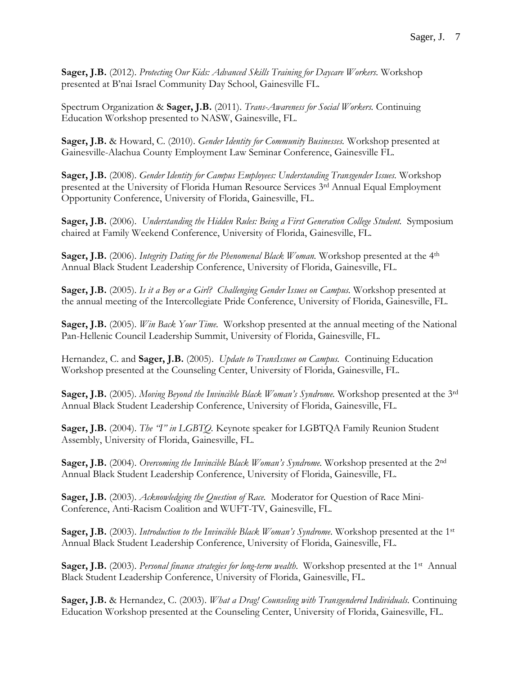**Sager, J.B.** (2012). *Protecting Our Kids: Advanced Skills Training for Daycare Workers.* Workshop presented at B'nai Israel Community Day School, Gainesville FL.

Spectrum Organization & **Sager, J.B.** (2011). *Trans-Awareness for Social Workers.* Continuing Education Workshop presented to NASW, Gainesville, FL.

**Sager, J.B.** & Howard, C. (2010). *Gender Identity for Community Businesses.* Workshop presented at Gainesville-Alachua County Employment Law Seminar Conference, Gainesville FL.

**Sager, J.B.** (2008). *Gender Identity for Campus Employees: Understanding Transgender Issues.* Workshop presented at the University of Florida Human Resource Services 3rd Annual Equal Employment Opportunity Conference, University of Florida, Gainesville, FL.

**Sager, J.B.** (2006). *Understanding the Hidden Rules: Being a First Generation College Student.* Symposium chaired at Family Weekend Conference, University of Florida, Gainesville, FL.

**Sager, J.B.** (2006). *Integrity Dating for the Phenomenal Black Woman*. Workshop presented at the 4<sup>th</sup> Annual Black Student Leadership Conference, University of Florida, Gainesville, FL.

**Sager, J.B.** (2005). *Is it a Boy or a Girl? Challenging Gender Issues on Campus.* Workshop presented at the annual meeting of the Intercollegiate Pride Conference, University of Florida, Gainesville, FL.

**Sager, J.B.** (2005). *Win Back Your Time.* Workshop presented at the annual meeting of the National Pan-Hellenic Council Leadership Summit, University of Florida, Gainesville, FL.

Hernandez, C. and **Sager, J.B.** (2005). *Update to TransIssues on Campus.* Continuing Education Workshop presented at the Counseling Center, University of Florida, Gainesville, FL.

**Sager, J.B.** (2005). *Moving Beyond the Invincible Black Woman's Syndrome.* Workshop presented at the 3rd Annual Black Student Leadership Conference, University of Florida, Gainesville, FL.

**Sager, J.B.** (2004). *The "I" in LGBTQ.* Keynote speaker for LGBTQA Family Reunion Student Assembly, University of Florida, Gainesville, FL.

**Sager, J.B.** (2004). *Overcoming the Invincible Black Woman's Syndrome.* Workshop presented at the 2nd Annual Black Student Leadership Conference, University of Florida, Gainesville, FL.

**Sager, J.B.** (2003). *Acknowledging the Question of Race.* Moderator for Question of Race Mini-Conference, Anti-Racism Coalition and WUFT-TV, Gainesville, FL.

**Sager, J.B.** (2003). *Introduction to the Invincible Black Woman's Syndrome*. Workshop presented at the 1<sup>st</sup> Annual Black Student Leadership Conference, University of Florida, Gainesville, FL.

Sager, J.B. (2003). *Personal finance strategies for long-term wealth*. Workshop presented at the 1<sup>st</sup> Annual Black Student Leadership Conference, University of Florida, Gainesville, FL.

**Sager, J.B.** & Hernandez, C. (2003). *What a Drag! Counseling with Transgendered Individuals.* Continuing Education Workshop presented at the Counseling Center, University of Florida, Gainesville, FL.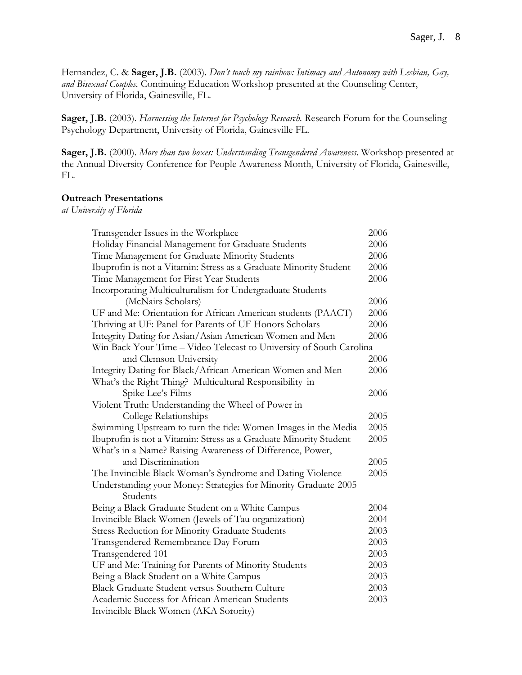Hernandez, C. & **Sager, J.B.** (2003). *Don't touch my rainbow: Intimacy and Autonomy with Lesbian, Gay, and Bisexual Couples.* Continuing Education Workshop presented at the Counseling Center, University of Florida, Gainesville, FL.

**Sager, J.B.** (2003). *Harnessing the Internet for Psychology Research.* Research Forum for the Counseling Psychology Department, University of Florida, Gainesville FL.

**Sager, J.B.** (2000). *More than two boxes: Understanding Transgendered Awareness*. Workshop presented at the Annual Diversity Conference for People Awareness Month, University of Florida, Gainesville, FL.

#### **Outreach Presentations**

*at University of Florida*

| Transgender Issues in the Workplace                                 | 2006 |
|---------------------------------------------------------------------|------|
| Holiday Financial Management for Graduate Students                  | 2006 |
| Time Management for Graduate Minority Students                      | 2006 |
| Ibuprofin is not a Vitamin: Stress as a Graduate Minority Student   | 2006 |
| Time Management for First Year Students                             | 2006 |
| Incorporating Multiculturalism for Undergraduate Students           |      |
| (McNairs Scholars)                                                  | 2006 |
| UF and Me: Orientation for African American students (PAACT)        | 2006 |
| Thriving at UF: Panel for Parents of UF Honors Scholars             | 2006 |
| Integrity Dating for Asian/Asian American Women and Men             | 2006 |
| Win Back Your Time - Video Telecast to University of South Carolina |      |
| and Clemson University                                              | 2006 |
| Integrity Dating for Black/African American Women and Men           | 2006 |
| What's the Right Thing? Multicultural Responsibility in             |      |
| Spike Lee's Films                                                   | 2006 |
| Violent Truth: Understanding the Wheel of Power in                  |      |
| College Relationships                                               | 2005 |
| Swimming Upstream to turn the tide: Women Images in the Media       | 2005 |
| Ibuprofin is not a Vitamin: Stress as a Graduate Minority Student   | 2005 |
| What's in a Name? Raising Awareness of Difference, Power,           |      |
| and Discrimination                                                  | 2005 |
| The Invincible Black Woman's Syndrome and Dating Violence           | 2005 |
| Understanding your Money: Strategies for Minority Graduate 2005     |      |
| Students                                                            |      |
| Being a Black Graduate Student on a White Campus                    | 2004 |
| Invincible Black Women (Jewels of Tau organization)                 | 2004 |
| <b>Stress Reduction for Minority Graduate Students</b>              | 2003 |
| Transgendered Remembrance Day Forum                                 | 2003 |
| Transgendered 101                                                   | 2003 |
| UF and Me: Training for Parents of Minority Students                | 2003 |
| Being a Black Student on a White Campus                             | 2003 |
| Black Graduate Student versus Southern Culture                      | 2003 |
| Academic Success for African American Students                      | 2003 |
| Invincible Black Women (AKA Sorority)                               |      |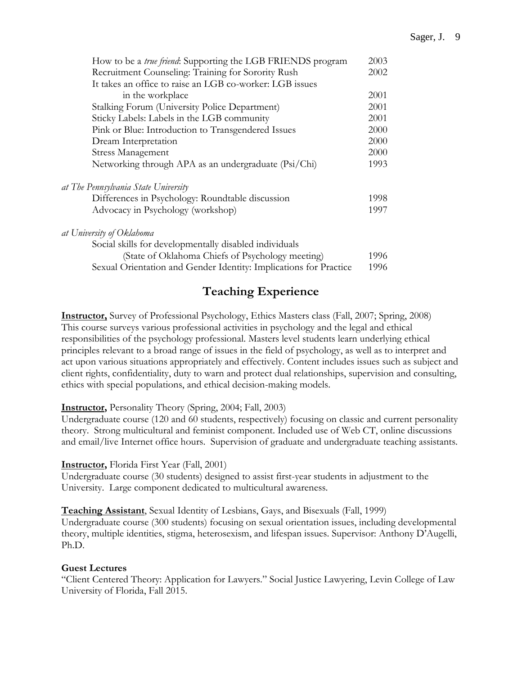| How to be a true friend: Supporting the LGB FRIENDS program       | 2003 |
|-------------------------------------------------------------------|------|
| Recruitment Counseling: Training for Sorority Rush                | 2002 |
| It takes an office to raise an LGB co-worker: LGB issues          |      |
| in the workplace                                                  | 2001 |
| Stalking Forum (University Police Department)                     | 2001 |
| Sticky Labels: Labels in the LGB community                        | 2001 |
| Pink or Blue: Introduction to Transgendered Issues                | 2000 |
| Dream Interpretation                                              | 2000 |
| <b>Stress Management</b>                                          | 2000 |
| Networking through APA as an undergraduate (Psi/Chi)              | 1993 |
| at The Pennsylvania State University                              |      |
| Differences in Psychology: Roundtable discussion                  | 1998 |
| Advocacy in Psychology (workshop)                                 | 1997 |
| at University of Oklahoma                                         |      |
| Social skills for developmentally disabled individuals            |      |
| (State of Oklahoma Chiefs of Psychology meeting)                  | 1996 |
| Sexual Orientation and Gender Identity: Implications for Practice | 1996 |

# **Teaching Experience**

**Instructor,** Survey of Professional Psychology, Ethics Masters class (Fall, 2007; Spring, 2008) This course surveys various professional activities in psychology and the legal and ethical responsibilities of the psychology professional. Masters level students learn underlying ethical principles relevant to a broad range of issues in the field of psychology, as well as to interpret and act upon various situations appropriately and effectively. Content includes issues such as subject and client rights, confidentiality, duty to warn and protect dual relationships, supervision and consulting, ethics with special populations, and ethical decision-making models.

### **Instructor,** Personality Theory (Spring, 2004; Fall, 2003)

Undergraduate course (120 and 60 students, respectively) focusing on classic and current personality theory. Strong multicultural and feminist component. Included use of Web CT, online discussions and email/live Internet office hours. Supervision of graduate and undergraduate teaching assistants.

### **Instructor,** Florida First Year (Fall, 2001)

Undergraduate course (30 students) designed to assist first-year students in adjustment to the University. Large component dedicated to multicultural awareness.

**Teaching Assistant**, Sexual Identity of Lesbians, Gays, and Bisexuals (Fall, 1999)

Undergraduate course (300 students) focusing on sexual orientation issues, including developmental theory, multiple identities, stigma, heterosexism, and lifespan issues. Supervisor: Anthony D'Augelli, Ph.D.

### **Guest Lectures**

"Client Centered Theory: Application for Lawyers." Social Justice Lawyering, Levin College of Law University of Florida, Fall 2015.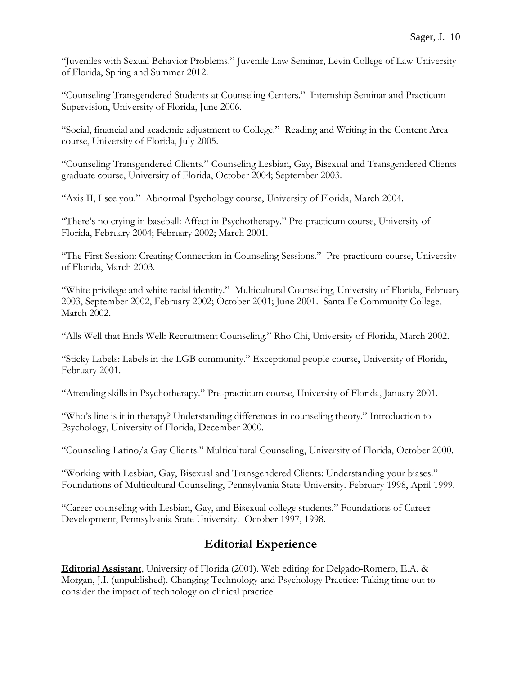"Juveniles with Sexual Behavior Problems." Juvenile Law Seminar, Levin College of Law University of Florida, Spring and Summer 2012.

"Counseling Transgendered Students at Counseling Centers." Internship Seminar and Practicum Supervision, University of Florida, June 2006.

"Social, financial and academic adjustment to College." Reading and Writing in the Content Area course, University of Florida, July 2005.

"Counseling Transgendered Clients." Counseling Lesbian, Gay, Bisexual and Transgendered Clients graduate course, University of Florida, October 2004; September 2003.

"Axis II, I see you." Abnormal Psychology course, University of Florida, March 2004.

"There's no crying in baseball: Affect in Psychotherapy." Pre-practicum course, University of Florida, February 2004; February 2002; March 2001.

"The First Session: Creating Connection in Counseling Sessions." Pre-practicum course, University of Florida, March 2003.

"White privilege and white racial identity." Multicultural Counseling, University of Florida, February 2003, September 2002, February 2002; October 2001; June 2001. Santa Fe Community College, March 2002.

"Alls Well that Ends Well: Recruitment Counseling." Rho Chi, University of Florida, March 2002.

"Sticky Labels: Labels in the LGB community." Exceptional people course, University of Florida, February 2001.

"Attending skills in Psychotherapy." Pre-practicum course, University of Florida, January 2001.

"Who's line is it in therapy? Understanding differences in counseling theory." Introduction to Psychology, University of Florida, December 2000.

"Counseling Latino/a Gay Clients." Multicultural Counseling, University of Florida, October 2000.

"Working with Lesbian, Gay, Bisexual and Transgendered Clients: Understanding your biases." Foundations of Multicultural Counseling, Pennsylvania State University. February 1998, April 1999.

"Career counseling with Lesbian, Gay, and Bisexual college students." Foundations of Career Development, Pennsylvania State University. October 1997, 1998.

# **Editorial Experience**

**Editorial Assistant**, University of Florida (2001). Web editing for Delgado-Romero, E.A. & Morgan, J.I. (unpublished). Changing Technology and Psychology Practice: Taking time out to consider the impact of technology on clinical practice.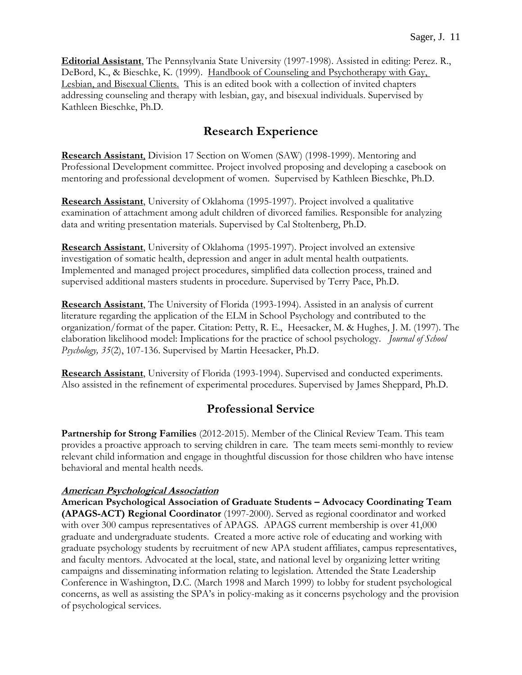**Editorial Assistant**, The Pennsylvania State University (1997-1998). Assisted in editing: Perez. R., DeBord, K., & Bieschke, K. (1999). Handbook of Counseling and Psychotherapy with Gay, Lesbian, and Bisexual Clients. This is an edited book with a collection of invited chapters addressing counseling and therapy with lesbian, gay, and bisexual individuals. Supervised by Kathleen Bieschke, Ph.D.

# **Research Experience**

**Research Assistant**, Division 17 Section on Women (SAW) (1998-1999). Mentoring and Professional Development committee. Project involved proposing and developing a casebook on mentoring and professional development of women. Supervised by Kathleen Bieschke, Ph.D.

**Research Assistant**, University of Oklahoma (1995-1997). Project involved a qualitative examination of attachment among adult children of divorced families. Responsible for analyzing data and writing presentation materials. Supervised by Cal Stoltenberg, Ph.D.

**Research Assistant**, University of Oklahoma (1995-1997). Project involved an extensive investigation of somatic health, depression and anger in adult mental health outpatients. Implemented and managed project procedures, simplified data collection process, trained and supervised additional masters students in procedure. Supervised by Terry Pace, Ph.D.

**Research Assistant**, The University of Florida (1993-1994). Assisted in an analysis of current literature regarding the application of the ELM in School Psychology and contributed to the organization/format of the paper. Citation: Petty, R. E., Heesacker, M. & Hughes, J. M. (1997). The elaboration likelihood model: Implications for the practice of school psychology. *Journal of School Psychology, 35*(2), 107-136. Supervised by Martin Heesacker, Ph.D.

**Research Assistant**, University of Florida (1993-1994). Supervised and conducted experiments. Also assisted in the refinement of experimental procedures. Supervised by James Sheppard, Ph.D.

### **Professional Service**

**Partnership for Strong Families** (2012-2015). Member of the Clinical Review Team. This team provides a proactive approach to serving children in care. The team meets semi-monthly to review relevant child information and engage in thoughtful discussion for those children who have intense behavioral and mental health needs.

### **American Psychological Association**

**American Psychological Association of Graduate Students – Advocacy Coordinating Team (APAGS-ACT) Regional Coordinator** (1997-2000). Served as regional coordinator and worked with over 300 campus representatives of APAGS. APAGS current membership is over 41,000 graduate and undergraduate students. Created a more active role of educating and working with graduate psychology students by recruitment of new APA student affiliates, campus representatives, and faculty mentors. Advocated at the local, state, and national level by organizing letter writing campaigns and disseminating information relating to legislation. Attended the State Leadership Conference in Washington, D.C. (March 1998 and March 1999) to lobby for student psychological concerns, as well as assisting the SPA's in policy-making as it concerns psychology and the provision of psychological services.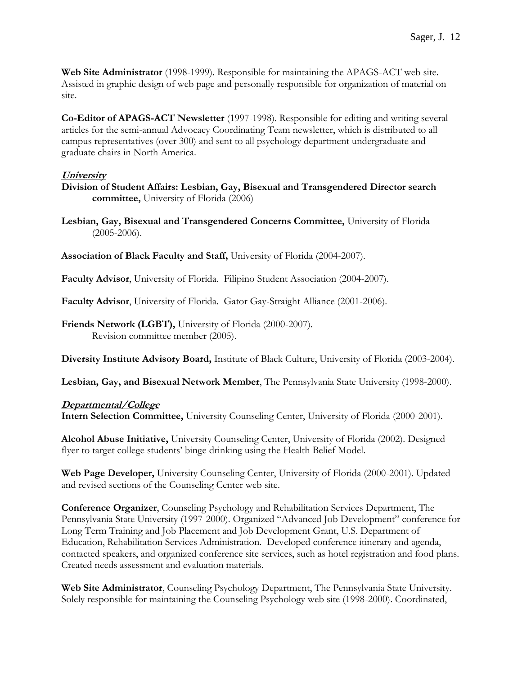**Web Site Administrator** (1998-1999). Responsible for maintaining the APAGS-ACT web site. Assisted in graphic design of web page and personally responsible for organization of material on site.

**Co-Editor of APAGS-ACT Newsletter** (1997-1998). Responsible for editing and writing several articles for the semi-annual Advocacy Coordinating Team newsletter, which is distributed to all campus representatives (over 300) and sent to all psychology department undergraduate and graduate chairs in North America.

### **University**

**Division of Student Affairs: Lesbian, Gay, Bisexual and Transgendered Director search committee,** University of Florida (2006)

**Lesbian, Gay, Bisexual and Transgendered Concerns Committee,** University of Florida (2005-2006).

**Association of Black Faculty and Staff,** University of Florida (2004-2007).

**Faculty Advisor**, University of Florida. Filipino Student Association (2004-2007).

**Faculty Advisor**, University of Florida. Gator Gay-Straight Alliance (2001-2006).

**Friends Network (LGBT),** University of Florida (2000-2007). Revision committee member (2005).

**Diversity Institute Advisory Board,** Institute of Black Culture, University of Florida (2003-2004).

**Lesbian, Gay, and Bisexual Network Member**, The Pennsylvania State University (1998-2000).

### **Departmental/College**

**Intern Selection Committee,** University Counseling Center, University of Florida (2000-2001).

**Alcohol Abuse Initiative,** University Counseling Center, University of Florida (2002). Designed flyer to target college students' binge drinking using the Health Belief Model.

**Web Page Developer,** University Counseling Center, University of Florida (2000-2001). Updated and revised sections of the Counseling Center web site.

**Conference Organizer**, Counseling Psychology and Rehabilitation Services Department, The Pennsylvania State University (1997-2000). Organized "Advanced Job Development" conference for Long Term Training and Job Placement and Job Development Grant, U.S. Department of Education, Rehabilitation Services Administration. Developed conference itinerary and agenda, contacted speakers, and organized conference site services, such as hotel registration and food plans. Created needs assessment and evaluation materials.

**Web Site Administrator**, Counseling Psychology Department, The Pennsylvania State University. Solely responsible for maintaining the Counseling Psychology web site (1998-2000). Coordinated,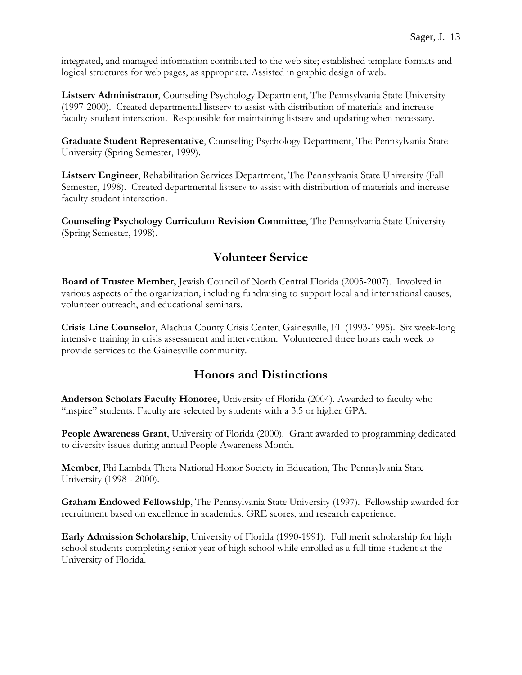integrated, and managed information contributed to the web site; established template formats and logical structures for web pages, as appropriate. Assisted in graphic design of web.

**Listserv Administrator**, Counseling Psychology Department, The Pennsylvania State University (1997-2000). Created departmental listserv to assist with distribution of materials and increase faculty-student interaction. Responsible for maintaining listserv and updating when necessary.

**Graduate Student Representative**, Counseling Psychology Department, The Pennsylvania State University (Spring Semester, 1999).

**Listserv Engineer**, Rehabilitation Services Department, The Pennsylvania State University (Fall Semester, 1998). Created departmental listserv to assist with distribution of materials and increase faculty-student interaction.

**Counseling Psychology Curriculum Revision Committee**, The Pennsylvania State University (Spring Semester, 1998).

# **Volunteer Service**

**Board of Trustee Member,** Jewish Council of North Central Florida (2005-2007). Involved in various aspects of the organization, including fundraising to support local and international causes, volunteer outreach, and educational seminars.

**Crisis Line Counselor**, Alachua County Crisis Center, Gainesville, FL (1993-1995). Six week-long intensive training in crisis assessment and intervention. Volunteered three hours each week to provide services to the Gainesville community.

# **Honors and Distinctions**

**Anderson Scholars Faculty Honoree,** University of Florida (2004). Awarded to faculty who "inspire" students. Faculty are selected by students with a 3.5 or higher GPA.

**People Awareness Grant**, University of Florida (2000). Grant awarded to programming dedicated to diversity issues during annual People Awareness Month.

**Member**, Phi Lambda Theta National Honor Society in Education, The Pennsylvania State University (1998 - 2000).

**Graham Endowed Fellowship**, The Pennsylvania State University (1997). Fellowship awarded for recruitment based on excellence in academics, GRE scores, and research experience.

**Early Admission Scholarship**, University of Florida (1990-1991). Full merit scholarship for high school students completing senior year of high school while enrolled as a full time student at the University of Florida.